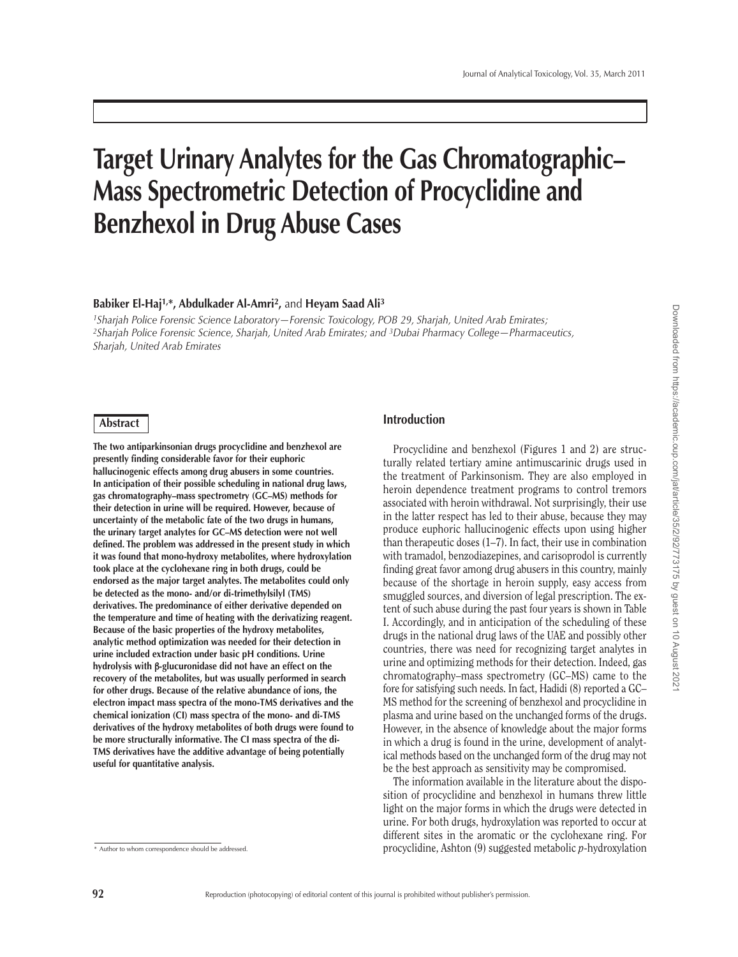# **Target Urinary Analytes for the Gas Chromatographic– Mass Spectrometric Detection of Procyclidine and Benzhexol in Drug Abuse Cases**

### **Babiker El-Haj1,\*, Abdulkader Al-Amri<sup>2</sup>,** and **Heyam Saad Ali<sup>3</sup>**

*<sup>1</sup>Sharjah Police Forensic Science Laboratory—Forensic Toxicology, POB 29, Sharjah, United Arab Emirates; <sup>2</sup>Sharjah Police Forensic Science, Sharjah, United Arab Emirates; and <sup>3</sup>Dubai Pharmacy College—Pharmaceutics, Sharjah, United Arab Emirates*

## **Abstract**

**The two antiparkinsonian drugs procyclidine and benzhexol are presently finding considerable favor for their euphoric hallucinogenic effects among drug abusers in some countries. In anticipation of their possible scheduling in national drug laws, gas chromatography–mass spectrometry (GC–MS) methods for their detection in urine will be required. However, because of uncertainty of the metabolic fate of the two drugs in humans, the urinary target analytes for GC–MS detection were not well defined. The problem was addressed in the present study in which it was found that mono-hydroxy metabolites, where hydroxylation took place at the cyclohexane ring in both drugs, could be endorsed as the major target analytes. The metabolites could only be detected as the mono- and/or di-trimethylsilyl (TMS) derivatives. The predominance of either derivative depended on the temperature and time of heating with the derivatizing reagent. Because of the basic properties of the hydroxy metabolites, analytic method optimization was needed for their detection in urine included extraction under basic pH conditions. Urine hydrolysis with** β**-glucuronidase did not have an effect on the recovery of the metabolites, but was usually performed in search for other drugs. Because of the relative abundance of ions, the electron impact mass spectra of the mono-TMS derivatives and the chemical ionization (CI) mass spectra of the mono- and di-TMS derivatives of the hydroxy metabolites of both drugs were found to be more structurally informative. The CI mass spectra of the di-TMS derivatives have the additive advantage of being potentially useful for quantitative analysis.**

## **Introduction**

Procyclidine and benzhexol (Figures 1 and 2) are structurally related tertiary amine antimuscarinic drugs used in the treatment of Parkinsonism. They are also employed in heroin dependence treatment programs to control tremors associated with heroin withdrawal. Not surprisingly, their use in the latter respect has led to their abuse, because they may produce euphoric hallucinogenic effects upon using higher than therapeutic doses (1–7). In fact, their use in combination with tramadol, benzodiazepines, and carisoprodol is currently finding great favor among drug abusers in this country, mainly because of the shortage in heroin supply, easy access from smuggled sources, and diversion of legal prescription. The extent of such abuse during the past four years is shown in Table I. Accordingly, and in anticipation of the scheduling of these drugs in the national drug laws of the UAE and possibly other countries, there was need for recognizing target analytes in urine and optimizing methods for their detection. Indeed, gas chromatography–mass spectrometry (GC–MS) came to the fore for satisfying such needs. In fact, Hadidi (8) reported a GC– MS method for the screening of benzhexol and procyclidine in plasma and urine based on the unchanged forms of the drugs. However, in the absence of knowledge about the major forms in which a drug is found in the urine, development of analytical methods based on the unchanged form of the drug may not be the best approach as sensitivity may be compromised.

The information available in the literature about the disposition of procyclidine and benzhexol in humans threw little light on the major forms in which the drugs were detected in urine. For both drugs, hydroxylation was reported to occur at different sites in the aromatic or the cyclohexane ring. For procyclidine, Ashton (9) suggested metabolic *p*-hydroxylation

<sup>\*</sup> Author to whom correspondence should be addressed.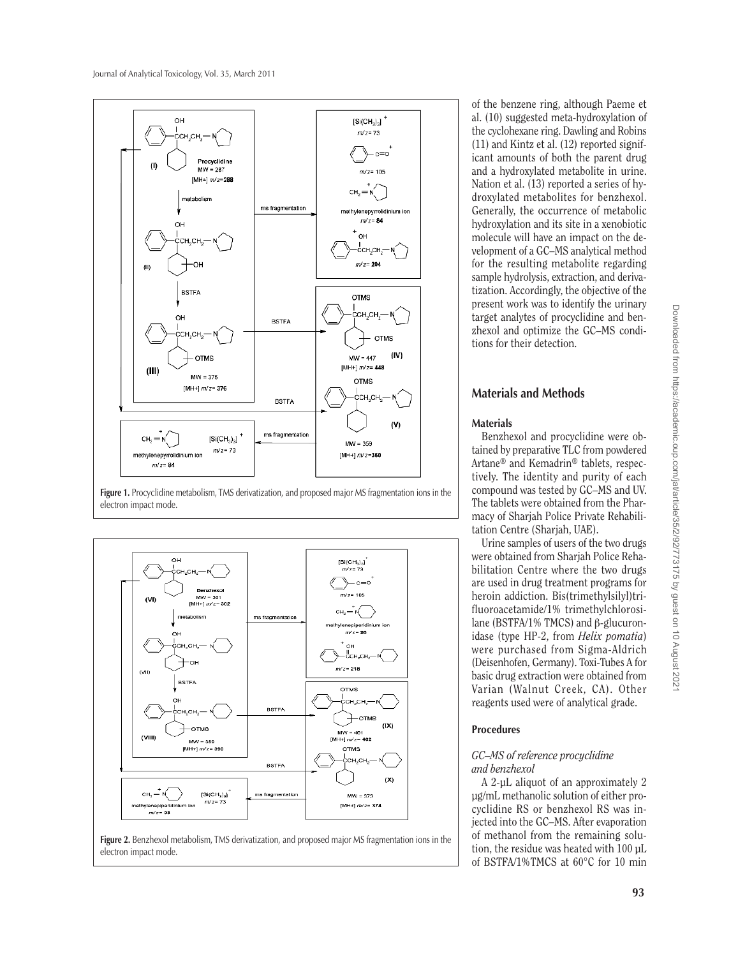

Figure 1. Procyclidine metabolism, TMS derivatization, and proposed major MS fragmentation ions in the electron impact mode.





of the benzene ring, although Paeme et al. (10) suggested meta-hydroxylation of the cyclohexane ring. Dawling and Robins (11) and Kintz et al. (12) reported significant amounts of both the parent drug and a hydroxylated metabolite in urine. Nation et al. (13) reported a series of hydroxylated metabolites for benzhexol. Generally, the occurrence of metabolic hydroxylation and its site in a xenobiotic molecule will have an impact on the development of a GC–MS analytical method for the resulting metabolite regarding sample hydrolysis, extraction, and derivatization. Accordingly, the objective of the present work was to identify the urinary target analytes of procyclidine and benzhexol and optimize the GC–MS conditions for their detection.

# **Materials and Methods**

## **Materials**

Benzhexol and procyclidine were obtained by preparative TLC from powdered Artane® and Kemadrin® tablets, respectively. The identity and purity of each compound was tested by GC–MS and UV. The tablets were obtained from the Pharmacy of Sharjah Police Private Rehabilitation Centre (Sharjah, UAE).

Urine samples of users of the two drugs were obtained from Sharjah Police Rehabilitation Centre where the two drugs are used in drug treatment programs for heroin addiction. Bis(trimethylsilyl)trifluoroacetamide/1% trimethylchlorosilane (BSTFA/1% TMCS) and β-glucuronidase (type HP-2, from *Helix pomatia*) were purchased from Sigma-Aldrich (Deisenhofen, Germany). Toxi-Tubes A for basic drug extraction were obtained from Varian (Walnut Creek, CA). Other reagents used were of analytical grade.

# **Procedures**

## *GC–MS of reference procyclidine and benzhexol*

A 2-µL aliquot of an approximately 2 µg/mL methanolic solution of either procyclidine RS or benzhexol RS was injected into the GC–MS. After evaporation of methanol from the remaining solution, the residue was heated with 100 µL of BSTFA/1%TMCS at 60°C for 10 min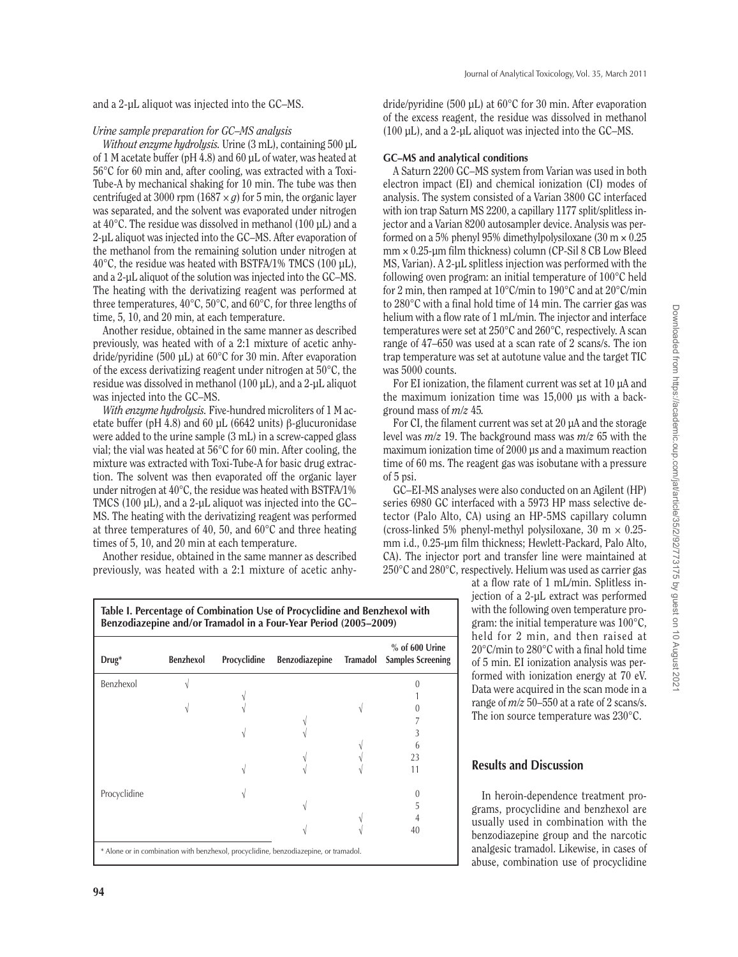and a 2-µL aliquot was injected into the GC–MS.

# *Urine sample preparation for GC–MS analysis*

*Without enzyme hydrolysis.* Urine (3 mL), containing 500 µL of 1 M acetate buffer (pH 4.8) and 60 µL of water, was heated at 56°C for 60 min and, after cooling, was extracted with a Toxi-Tube-A by mechanical shaking for 10 min. The tube was then centrifuged at 3000 rpm (1687  $\times$  *g*) for 5 min, the organic layer was separated, and the solvent was evaporated under nitrogen at 40°C. The residue was dissolved in methanol (100 µL) and a 2-µL aliquot was injected into the GC–MS. After evaporation of the methanol from the remaining solution under nitrogen at  $40^{\circ}$ C, the residue was heated with BSTFA/1% TMCS (100  $\mu$ L), and a 2-µL aliquot of the solution was injected into the GC–MS. The heating with the derivatizing reagent was performed at three temperatures, 40°C, 50°C, and 60°C, for three lengths of time, 5, 10, and 20 min, at each temperature.

Another residue, obtained in the same manner as described previously, was heated with of a 2:1 mixture of acetic anhydride/pyridine (500 µL) at 60°C for 30 min. After evaporation of the excess derivatizing reagent under nitrogen at 50°C, the residue was dissolved in methanol (100 µL), and a 2-µL aliquot was injected into the GC–MS.

*With enzyme hydrolysis.* Five-hundred microliters of 1 M acetate buffer (pH 4.8) and 60 μL (6642 units) β-glucuronidase were added to the urine sample (3 mL) in a screw-capped glass vial; the vial was heated at 56°C for 60 min. After cooling, the mixture was extracted with Toxi-Tube-A for basic drug extraction. The solvent was then evaporated off the organic layer under nitrogen at 40°C, the residue was heated with BSTFA/1% TMCS (100  $\mu$ L), and a 2- $\mu$ L aliquot was injected into the GC– MS. The heating with the derivatizing reagent was performed at three temperatures of 40, 50, and 60°C and three heating times of 5, 10, and 20 min at each temperature.

Another residue, obtained in the same manner as described previously, was heated with a 2:1 mixture of acetic anhydride/pyridine (500 µL) at 60°C for 30 min. After evaporation of the excess reagent, the residue was dissolved in methanol  $(100 \mu L)$ , and a 2- $\mu L$  aliquot was injected into the GC–MS.

## **GC–MS and analytical conditions**

A Saturn 2200 GC–MS system from Varian was used in both electron impact (EI) and chemical ionization (CI) modes of analysis. The system consisted of a Varian 3800 GC interfaced with ion trap Saturn MS 2200, a capillary 1177 split/splitless injector and a Varian 8200 autosampler device. Analysis was performed on a 5% phenyl 95% dimethylpolysiloxane (30 m  $\times$  0.25 mm × 0.25-µm film thickness) column (CP-Sil 8 CB Low Bleed MS, Varian). A 2-µL splitless injection was performed with the following oven program: an initial temperature of 100°C held for 2 min, then ramped at 10°C/min to 190°C and at 20°C/min to 280°C with a final hold time of 14 min. The carrier gas was helium with a flow rate of 1 mL/min. The injector and interface temperatures were set at 250°C and 260°C, respectively. A scan range of 47–650 was used at a scan rate of 2 scans/s. The ion trap temperature was set at autotune value and the target TIC was 5000 counts.

For EI ionization, the filament current was set at 10 µA and the maximum ionization time was 15,000 µs with a background mass of *m/z* 45*.* 

For CI, the filament current was set at 20 µA and the storage level was *m/z* 19. The background mass was *m/z* 65 with the maximum ionization time of 2000 µs and a maximum reaction time of 60 ms. The reagent gas was isobutane with a pressure of 5 psi.

GC–EI-MS analyses were also conducted on an Agilent (HP) series 6980 GC interfaced with a 5973 HP mass selective detector (Palo Alto, CA) using an HP-5MS capillary column (cross-linked 5% phenyl-methyl polysiloxane, 30 m  $\times$  0.25mm i.d., 0.25-µm film thickness; Hewlett-Packard, Palo Alto, CA). The injector port and transfer line were maintained at 250°C and 280°C, respectively. Helium was used as carrier gas

at a flow rate of 1 mL/min. Splitless injection of a 2-µL extract was performed with the following oven temperature program: the initial temperature was 100°C, held for 2 min, and then raised at 20°C/min to 280°C with a final hold time of 5 min. EI ionization analysis was performed with ionization energy at 70 eV. Data were acquired in the scan mode in a range of *m/z* 50–550 at a rate of 2 scans/s. The ion source temperature was 230°C.

# **Results and Discussion**

In heroin-dependence treatment programs, procyclidine and benzhexol are usually used in combination with the benzodiazepine group and the narcotic analgesic tramadol. Likewise, in cases of abuse, combination use of procyclidine

| $Drug*$      | <b>Benzhexol</b> | Procyclidine | Benzodiazepine | Tramadol | $%$ of 600 Urine<br><b>Samples Screening</b> |
|--------------|------------------|--------------|----------------|----------|----------------------------------------------|
| Benzhexol    |                  |              |                |          |                                              |
|              |                  |              |                |          |                                              |
|              |                  |              |                |          |                                              |
|              |                  |              |                |          |                                              |
|              |                  |              |                |          |                                              |
|              |                  |              |                |          | h                                            |
|              |                  |              |                |          | 23                                           |
|              |                  |              |                |          | 11                                           |
| Procyclidine |                  |              |                |          |                                              |
|              |                  |              |                |          |                                              |
|              |                  |              |                |          |                                              |
|              |                  |              |                |          | 40                                           |

| Table I. Percentage of Combination Use of Procyclidine and Benzhexol with<br>Benzodiazepine and/or Tramadol in a Four-Year Period (2005-2009) |
|-----------------------------------------------------------------------------------------------------------------------------------------------|

Н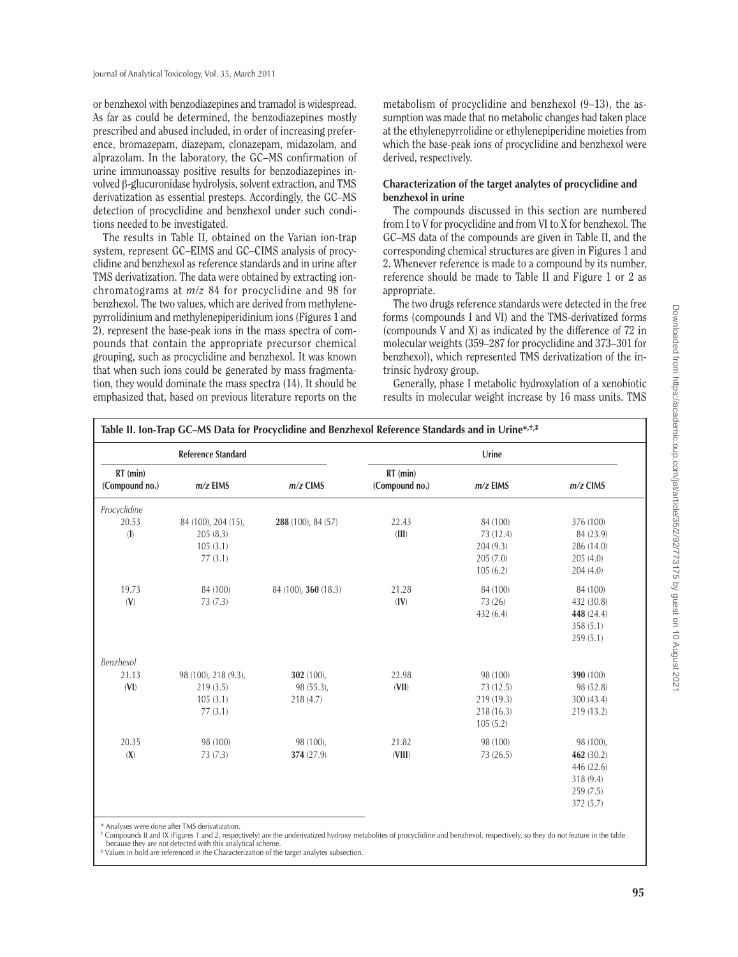or benzhexol with benzodiazepines and tramadol is widespread. As far as could be determined, the benzodiazepines mostly prescribed and abused included, in order of increasing preference, bromazepam, diazepam, clonazepam, midazolam, and alprazolam. In the laboratory, the GC–MS confirmation of urine immunoassay positive results for benzodiazepines involved β-glucur onidase hydrolysis, solvent extraction, and TMS derivatization as essential presteps. Accordingly, the GC–MS detection of procyclidine and benzhexol under such conditions needed to be investigated.

The results in Table II, obtained on the Varian ion-trap system, represent GC–EIMS and GC–CIMS analysis of procyclidine and benzhexol as reference standards and in urine after TMS derivatization. The data were obtained by extracting ionchromatograms at *m/z* 84 for procyclidine and 98 for benzhexol. The two values, which are derived from methylenepyrrolidinium and methylenepiperidinium ions (Figures 1 and 2), represent the base-peak ions in the mass spectra of compounds that contain the appropriate precursor chemical grouping, such as procyclidine and benzhexol. It was known that when such ions could be generated by mass fragmentation, they would dominate the mass spectra (14). It should be emphasized that, based on previous literature reports on the

metabolism of procyclidine and benzhexol (9–13), the assumption was made that no metabolic changes had taken place at the ethylenepyrrolidine or ethylenepiperidine moieties from which the base-peak ions of procyclidine and benzhexol were derived, respectively.

#### **Characterization of the target analytes of procyclidine and benzhexol in urine**

The compounds discussed in this section are numbered from I to V for procyclidine and from VI to X for benzhexol. The GC–MS data of the compounds are given in Table II, and the corresponding chemical structures are given in Figures 1 and 2. Whenever reference is made to a compound by its number, reference should be made to Table II and Figure 1 or 2 as appropriate.

The two drugs reference standards were detected in the free forms (compounds I and VI) and the TMS-derivatized forms (compounds V and X) as indicated by the difference of 72 in molecular weights (359–287 for procyclidine and 373–301 for benzhexol), which represented TMS derivatization of the intrinsic hydroxy group.

Generally, phase I metabolic hydroxylation of a xenobiotic results in molecular weight increase by 16 mass units. TMS

| <b>Reference Standard</b>  |                      |                      |                              |            |            |
|----------------------------|----------------------|----------------------|------------------------------|------------|------------|
| RT (min)<br>(Compound no.) | $m/z$ EIMS           | $m/z$ CIMS           | $RT$ (min)<br>(Compound no.) | $m/z$ EIMS | $m/z$ CIMS |
| Procyclidine               |                      |                      |                              |            |            |
| 20.53                      | 84 (100), 204 (15),  | 288 (100), 84 (57)   | 22.43                        | 84 (100)   | 376 (100)  |
| $($ $\blacksquare$         | 205(8.3)             |                      | (III)                        | 73 (12.4)  | 84 (23.9)  |
|                            | 105(3.1)             |                      |                              | 204(9.3)   | 286 (14.0) |
|                            | 77(3.1)              |                      |                              | 205(7.0)   | 205(4.0)   |
|                            |                      |                      |                              | 105(6.2)   | 204(4.0)   |
| 19.73                      | 84 (100)             | 84 (100), 360 (18.3) | 21.28                        | 84 (100)   | 84 (100)   |
| (V)                        | 73(7.3)              |                      | (IV)                         | 73 (26)    | 432 (30.8) |
|                            |                      |                      |                              | 432(6.4)   | 448 (24.4) |
|                            |                      |                      |                              |            | 358(5.1)   |
|                            |                      |                      |                              |            | 259(5.1)   |
| Benzhexol                  |                      |                      |                              |            |            |
| 21.13                      | 98 (100), 218 (9.3), | $302(100)$ ,         | 22.98                        | 98 (100)   | 390 (100)  |
| (VI)                       | 219(3.5)             | $98(55.3)$ ,         | (VII)                        | 73 (12.5)  | 98 (52.8)  |
|                            | 105(3.1)             | 218(4.7)             |                              | 219 (19.3) | 300 (43.4) |
|                            | 77(3.1)              |                      |                              | 218 (16.3) | 219 (13.2) |
|                            |                      |                      |                              | 105(5.2)   |            |
| 20.35                      | 98 (100)             | 98 (100),            | 21.82                        | 98 (100)   | 98 (100),  |
| (X)                        | 73(7.3)              | 374 (27.9)           | (VIII)                       | 73 (26.5)  | 462 (30.2) |
|                            |                      |                      |                              |            | 446 (22.6) |
|                            |                      |                      |                              |            | 318(9.4)   |
|                            |                      |                      |                              |            | 259(7.5)   |
|                            |                      |                      |                              |            | 372(5.7)   |

\* Analyses were done after TMS derivatization.

† Compounds II and IX (Figures 1 and 2, respectively) are the underivatized hydroxy metabolites of procyclidine and benzhexol, respectively, so they do not feature in the table because they are not detected with this analytical scheme.

‡ Values in bold are referenced in the Characterization of the target analytes subsection.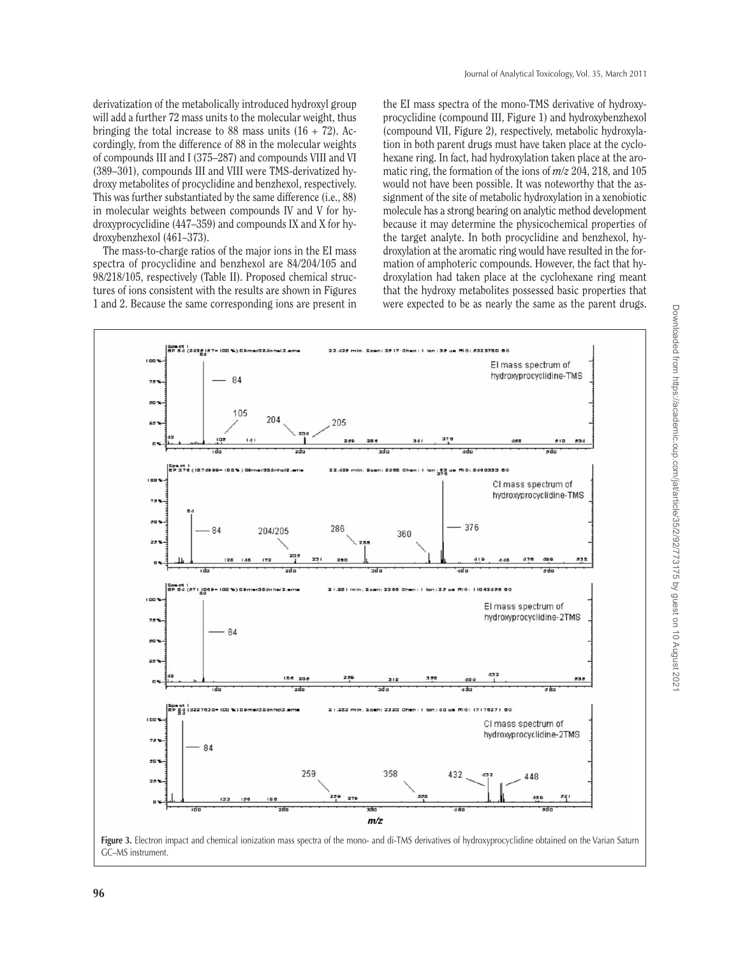derivatization of the metabolically introduced hydroxyl group will add a further 72 mass units to the molecular weight, thus bringing the total increase to 88 mass units  $(16 + 72)$ . Accordingly, from the difference of 88 in the molecular weights of compounds III and I (375–287) and compounds VIII and VI (389–301), compounds III and VIII were TMS-derivatized hydroxy metabolites of procyclidine and benzhexol, respectively. This was further substantiated by the same difference (i.e., 88) in molecular weights between compounds IV and V for hydroxyprocyclidine (447–359) and compounds IX and X for hydroxybenzhexol (461–373).

The mass-to-charge ratios of the major ions in the EI mass spectra of procyclidine and benzhexol are 84/204/105 and 98/218/105, respectively (Table II). Proposed chemical structures of ions consistent with the results are shown in Figures 1 and 2. Because the same corresponding ions are present in

the EI mass spectra of the mono-TMS derivative of hydroxyprocyclidine (compound III, Figure 1) and hydroxybenzhexol (compound VII, Figure 2), respectively, metabolic hydroxylation in both parent drugs must have taken place at the cyclohexane ring. In fact, had hydroxylation taken place at the aromatic ring, the formation of the ions of *m/z* 204, 218, and 105 would not have been possible. It was noteworthy that the assignment of the site of metabolic hydroxylation in a xenobiotic molecule has a strong bearing on analytic method development because it may determine the physicochemical properties of the target analyte. In both procyclidine and benzhexol, hydroxylation at the aromatic ring would have resulted in the formation of amphoteric compounds. However, the fact that hydroxylation had taken place at the cyclohexane ring meant that the hydroxy metabolites possessed basic properties that were expected to be as nearly the same as the parent drugs.



**Figure 3.** Electron impact and chemical ionization mass spectra of the mono- and di-TMS derivatives of hydroxyprocyclidine obtained on the Varian Saturn GC–MS instrument.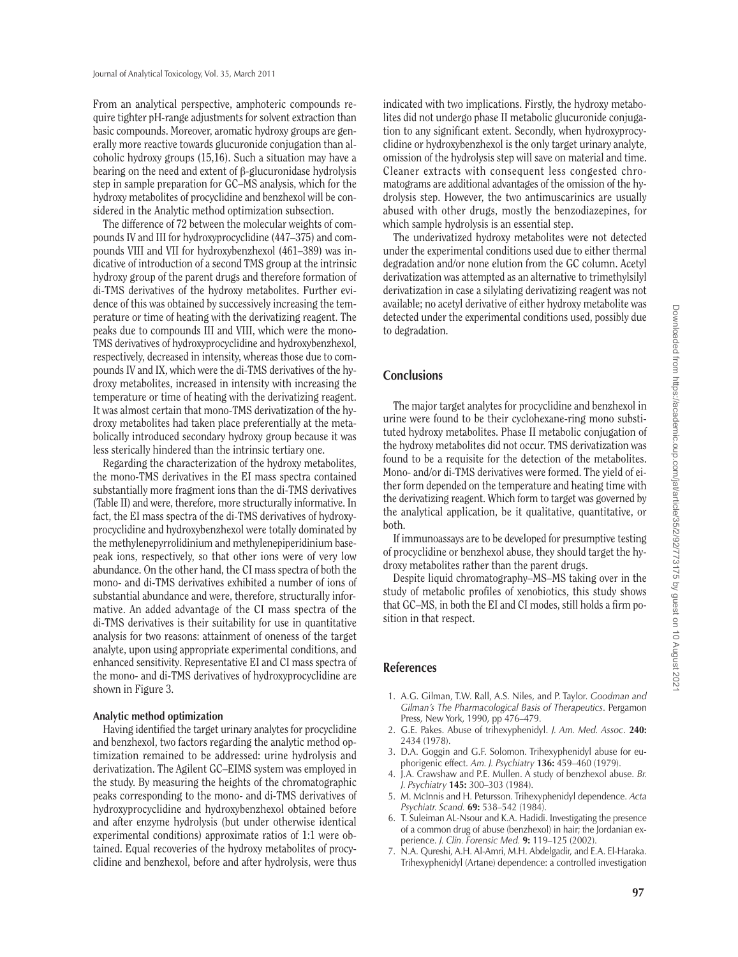From an analytical perspective, amphoteric compounds require tighter pH-range adjustments for solvent extraction than basic compounds. Moreover, aromatic hydroxy groups are generally more reactive towards glucuronide conjugation than alcoholic hydroxy groups (15,16). Such a situation may have a bearing on the need and extent of β-glucuronidase hydrolysis step in sample preparation for GC–MS analysis, which for the hydroxy metabolites of procyclidine and benzhexol will be considered in the Analytic method optimization subsection.

The difference of 72 between the molecular weights of compounds IV and III for hydroxyprocyclidine (447–375) and compounds VIII and VII for hydroxybenzhexol (461–389) was indicative of introduction of a second TMS group at the intrinsic hydroxy group of the parent drugs and therefore formation of di-TMS derivatives of the hydroxy metabolites. Further evidence of this was obtained by successively increasing the temperature or time of heating with the derivatizing reagent. The peaks due to compounds III and VIII, which were the mono-TMS derivatives of hydroxyprocyclidine and hydroxybenzhexol, respectively, decreased in intensity, whereas those due to compounds IV and IX, which were the di-TMS derivatives of the hydroxy metabolites, increased in intensity with increasing the temperature or time of heating with the derivatizing reagent. It was almost certain that mono-TMS derivatization of the hydroxy metabolites had taken place preferentially at the meta bolically introduced secondary hydroxy group because it was less sterically hindered than the intrinsic tertiary one.

Regarding the characterization of the hydroxy metabolites, the mono-TMS derivatives in the EI mass spectra contained substantially more fragment ions than the di-TMS derivatives (Table II) and were, therefore, more structurally informative. In fact, the EI mass spectra of the di-TMS derivatives of hydroxyprocyclidine and hydroxybenzhexol were totally dominated by the methylenepyrrolidinium and methylenepiperidinium basepeak ions, respectively, so that other ions were of very low abundance. On the other hand, the CI mass spectra of both the mono- and di-TMS derivatives exhibited a number of ions of substantial abundance and were, therefore, structurally informative. An added advantage of the CI mass spectra of the di-TMS derivatives is their suitability for use in quantitative analysis for two reasons: attainment of oneness of the target analyte, upon using appropriate experimental conditions, and enhanced sensitivity. Representative EI and CI mass spectra of the mono- and di-TMS derivatives of hydroxyprocyclidine are shown in Figure 3.

#### **Analytic method optimization**

Having identified the target urinary analytes for procyclidine and benzhexol, two factors regarding the analytic method optimization remained to be addressed: urine hydrolysis and derivatization. The Agilent GC–EIMS system was employed in the study. By measuring the heights of the chromatographic peaks corresponding to the mono- and di-TMS derivatives of hydroxyprocyclidine and hydroxybenzhexol obtained before and after enzyme hydrolysis (but under otherwise identical experimental conditions) approximate ratios of 1:1 were obtained. Equal recoveries of the hydroxy metabolites of procyclidine and benzhexol, before and after hydrolysis, were thus

indicated with two implications. Firstly, the hydroxy metabolites did not undergo phase II metabolic glucuronide conjugation to any significant extent. Secondly, when hydroxyprocyclidine or hydroxybenzhexol is the only target urinary analyte, omission of the hydrolysis step will save on material and time. Cleaner extracts with consequent less congested chromatograms are additional advantages of the omission of the hydrolysis step. However, the two antimuscarinics are usually abused with other drugs, mostly the benzodiazepines, for which sample hydrolysis is an essential step.

The underivatized hydroxy metabolites were not detected under the experimental conditions used due to either thermal degradation and/or none elution from the GC column. Acetyl derivatization was attempted as an alternative to trimethylsilyl derivatization in case a silylating derivatizing reagent was not available; no acetyl derivative of either hydroxy metabolite was detected under the experimental conditions used, possibly due to degradation.

#### **Conclusions**

The major target analytes for procyclidine and benzhexol in urine were found to be their cyclohexane-ring mono substituted hydroxy metabolites. Phase II metabolic conjugation of the hydroxy metabolites did not occur. TMS derivatization was found to be a requisite for the detection of the metabolites. Mono- and/or di-TMS derivatives were formed. The yield of either form depended on the temperature and heating time with the derivatizing reagent. Which form to target was governed by the analytical application, be it qualitative, quantitative, or both.

If immunoassays are to be developed for presumptive testing of procyclidine or benzhexol abuse, they should target the hydroxy metabolites rather than the parent drugs.

Despite liquid chromatography–MS–MS taking over in the study of metabolic profiles of xenobiotics, this study shows that GC–MS, in both the EI and CI modes, still holds a firm position in that respect.

#### **References**

- 1. A.G. Gilman, T.W. Rall, A.S. Niles, and P. Taylor. *Goodman and Gilman's The Pharmacological Basis of Therapeutics*. Pergamon Press, New York, 1990, pp 476–479.
- 2. G.E. Pakes. Abuse of trihexyphenidyl. *J. Am. Med. Assoc*. **240:** 2434 (1978).
- 3. D.A. Goggin and G.F. Solomon. Trihexyphenidyl abuse for euphorigenic effect. *Am. J. Psychiatry* **136:** 459–460 (1979).
- 4. J.A. Crawshaw and P.E. Mullen. A study of benzhexol abuse. *Br. J. Psychiatry* **145:** 300–303 (1984).
- 5. M. McInnis and H. Petursson. Trihexyphenidyl dependence. *Acta Psychiatr. Scand.* **69:** 538–542 (1984).
- 6. T. Suleiman AL-Nsour and K.A. Hadidi. Investigating the presence of a common drug of abuse (benzhexol) in hair; the Jordanian experience. *J. Clin. Forensic Med.* **9:** 119–125 (2002).
- 7. N.A. Qureshi, A.H. Al-Amri, M.H. Abdelgadir, and E.A. El-Haraka. Trihexyphenidyl (Artane) dependence: a controlled investigation